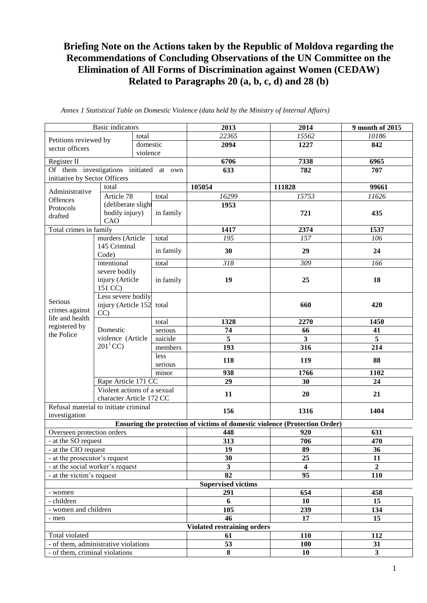## **Briefing Note on the Actions taken by the Republic of Moldova regarding the Recommendations of Concluding Observations of the UN Committee on the Elimination of All Forms of Discrimination against Women (CEDAW) Related to Paragraphs 20 (a, b, c, d) and 28 (b)**

| <b>Basic indicators</b>                                       |                                              |          |           | 2013                                                                       | 2014                    | 9 month of 2015  |
|---------------------------------------------------------------|----------------------------------------------|----------|-----------|----------------------------------------------------------------------------|-------------------------|------------------|
| Petitions reviewed by                                         |                                              | total    |           | 22365                                                                      | 15562                   | 10186            |
| sector officers                                               |                                              | domestic |           | 2094                                                                       | 1227                    | 842              |
|                                                               |                                              | violence |           |                                                                            |                         |                  |
| Register II                                                   |                                              |          |           | 6706                                                                       | 7338                    | 6965             |
| Of them investigations initiated at own                       |                                              |          |           | 633                                                                        | 782                     | 707              |
| initiative by Sector Officers                                 |                                              |          |           |                                                                            |                         |                  |
| Administrative                                                | total                                        |          |           | 105054                                                                     | 111828                  | 99661            |
| <b>Offences</b>                                               | Article 78                                   |          | total     | 16299                                                                      | 15753                   | 11626            |
| Protocols                                                     | (deliberate slight                           |          |           | 1953                                                                       |                         |                  |
| drafted                                                       | bodily injury)                               |          | in family |                                                                            | 721                     | 435              |
| CAO<br>Total crimes in family                                 |                                              |          | 1417      | 2374                                                                       | 1537                    |                  |
|                                                               | murders (Article                             |          | total     | 195                                                                        | 157                     | 106              |
|                                                               | 145 Criminal                                 |          |           |                                                                            |                         |                  |
|                                                               | Code)                                        |          | in family | 30                                                                         | 29                      | 24               |
|                                                               | intentional                                  |          | total     | 318                                                                        | 309                     | 166              |
|                                                               | severe bodily                                |          |           |                                                                            |                         |                  |
|                                                               | injury (Article                              |          | in family | 19                                                                         | 25                      | 18               |
|                                                               | 151 CC)                                      |          |           |                                                                            |                         |                  |
| Serious                                                       | Less severe bodily                           |          |           |                                                                            |                         |                  |
| crimes against                                                | injury (Article 152 total<br>CC              |          |           |                                                                            | 660                     | 420              |
| life and health                                               |                                              |          | total     | 1328                                                                       | 2270                    | 1450             |
| registered by                                                 | Domestic<br>violence (Article<br>$201^1$ CC) |          | serious   | 74                                                                         | 66                      | 41               |
| the Police                                                    |                                              |          | suicide   | 5                                                                          | $\mathbf{3}$            | 5                |
|                                                               |                                              |          | members   | 193                                                                        | 316                     | 214              |
|                                                               |                                              |          | less      |                                                                            |                         |                  |
|                                                               |                                              |          | serious   | 118                                                                        | 119                     | 88               |
|                                                               |                                              |          | minor     | 938                                                                        | 1766                    | 1102             |
|                                                               | Rape Article 171 CC                          |          |           | 29                                                                         | 30                      | 24               |
|                                                               | Violent actions of a sexual                  |          |           | 11                                                                         | 20                      | 21               |
|                                                               | character Article 172 CC                     |          |           |                                                                            |                         |                  |
| Refusal material to initiate criminal                         |                                              |          |           | 156                                                                        | 1316                    | 1404             |
| investigation                                                 |                                              |          |           |                                                                            |                         |                  |
|                                                               |                                              |          |           | Ensuring the protection of victims of domestic violence (Protection Order) |                         |                  |
| Overseen protection orders                                    |                                              |          |           | 448                                                                        | 920                     | 631              |
| - at the SO request                                           |                                              |          |           | 313                                                                        | 706                     | 470              |
| - at the CIO request                                          |                                              |          |           | 19<br>30                                                                   | 89<br>25                | 36<br>11         |
| - at the prosecutor's request                                 |                                              |          |           | 3                                                                          | $\overline{\mathbf{4}}$ | $\boldsymbol{2}$ |
| - at the social worker's request<br>- at the victim's request |                                              |          |           | 82                                                                         | 95                      | 110              |
|                                                               |                                              |          |           | <b>Supervised victims</b>                                                  |                         |                  |
| - women                                                       |                                              |          |           | 291                                                                        | 654                     | 458              |
| - children                                                    |                                              |          |           | 6                                                                          | 10                      | 15               |
| - women and children                                          |                                              |          |           | 105                                                                        | 239                     | 134              |
| - men                                                         |                                              |          |           | 46                                                                         | 17                      | 15               |
|                                                               |                                              |          |           | <b>Violated restraining orders</b>                                         |                         |                  |
| Total violated                                                |                                              |          |           | 61                                                                         | 110                     | 112              |
| - of them, administrative violations                          |                                              |          |           | 53                                                                         | 100                     | 31               |
| - of them, criminal violations                                |                                              |          |           | 8                                                                          | 10                      | $\mathbf{3}$     |

*Annex 1 Statistical Table on Domestic Violence (data held by the Ministry of Internal Affairs)*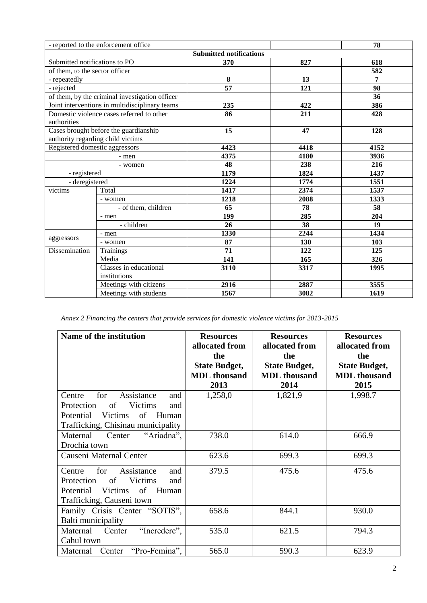|                                                                            | - reported to the enforcement office |                                |      | 78   |
|----------------------------------------------------------------------------|--------------------------------------|--------------------------------|------|------|
|                                                                            |                                      | <b>Submitted notifications</b> |      |      |
| Submitted notifications to PO                                              |                                      | 370                            | 827  | 618  |
| of them, to the sector officer                                             |                                      |                                |      | 582  |
| - repeatedly                                                               |                                      | 8                              | 13   | 7    |
| - rejected                                                                 |                                      | $\overline{57}$                | 121  | 98   |
| of them, by the criminal investigation officer                             |                                      |                                |      | 36   |
| Joint interventions in multidisciplinary teams                             |                                      | 235                            | 422  | 386  |
| Domestic violence cases referred to other<br>authorities                   |                                      | 86                             | 211  | 428  |
| Cases brought before the guardianship<br>authority regarding child victims |                                      | 15                             | 47   | 128  |
| Registered domestic aggressors                                             |                                      | 4423                           | 4418 | 4152 |
| - men                                                                      |                                      | 4375                           | 4180 | 3936 |
| - women                                                                    |                                      | 48                             | 238  | 216  |
| - registered                                                               |                                      | 1179                           | 1824 | 1437 |
| - deregistered                                                             |                                      | 1224                           | 1774 | 1551 |
| victims                                                                    | Total                                | 1417                           | 2374 | 1537 |
|                                                                            | - women                              | 1218                           | 2088 | 1333 |
|                                                                            | - of them, children                  | 65                             | 78   | 58   |
|                                                                            | - men                                | 199                            | 285  | 204  |
|                                                                            | $-$ children                         | 26                             | 38   | 19   |
| aggressors                                                                 | - men                                | 1330                           | 2244 | 1434 |
|                                                                            | - women                              | 87                             | 130  | 103  |
| Dissemination                                                              | Trainings                            | 71                             | 122  | 125  |
|                                                                            | Media                                | 141                            | 165  | 326  |
|                                                                            | Classes in educational               | 3110                           | 3317 | 1995 |
|                                                                            | institutions                         |                                |      |      |
|                                                                            | Meetings with citizens               | 2916                           | 2887 | 3555 |
|                                                                            | Meetings with students               | 1567                           | 3082 | 1619 |

*Annex 2 Financing the centers that provide services for domestic violence victims for 2013-2015*

| Name of the institution             | <b>Resources</b><br>allocated from | <b>Resources</b><br>allocated from | <b>Resources</b><br>allocated from |
|-------------------------------------|------------------------------------|------------------------------------|------------------------------------|
|                                     | the                                | the                                | the                                |
|                                     | <b>State Budget,</b>               | <b>State Budget,</b>               | <b>State Budget,</b>               |
|                                     | <b>MDL</b> thousand                | <b>MDL</b> thousand                | <b>MDL</b> thousand                |
|                                     | 2013                               | 2014                               | 2015                               |
| for<br>Centre<br>Assistance<br>and  | 1,258,0                            | 1,821,9                            | 1,998.7                            |
| Victims<br>Protection<br>of<br>and  |                                    |                                    |                                    |
| of<br>Potential<br>Victims<br>Human |                                    |                                    |                                    |
| Trafficking, Chisinau municipality  |                                    |                                    |                                    |
| Maternal<br>Center<br>"Ariadna",    | 738.0                              | 614.0                              | 666.9                              |
| Drochia town                        |                                    |                                    |                                    |
| Causeni Maternal Center             | 623.6                              | 699.3                              | 699.3                              |
| for<br>Assistance<br>Centre<br>and  | 379.5                              | 475.6                              | 475.6                              |
| Victims<br>Protection<br>of<br>and  |                                    |                                    |                                    |
| Victims of Human<br>Potential       |                                    |                                    |                                    |
| Trafficking, Causeni town           |                                    |                                    |                                    |
| Family Crisis Center "SOTIS",       | 658.6                              | 844.1                              | 930.0                              |
| Balti municipality                  |                                    |                                    |                                    |
| "Incredere",<br>Maternal<br>Center  | 535.0                              | 621.5                              | 794.3                              |
| Cahul town                          |                                    |                                    |                                    |
| "Pro-Femina",<br>Maternal Center    | 565.0                              | 590.3                              | 623.9                              |